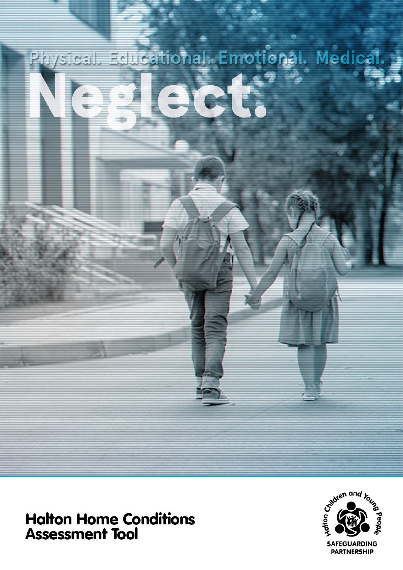# Educational. Emotional. Medical.<br>Contractor of the contractor

# **Halton Home Conditions<br>Assessment Tool**

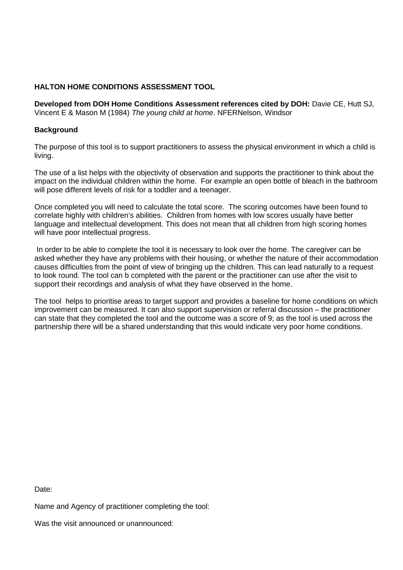### **HALTON HOME CONDITIONS ASSESSMENT TOOL**

**Developed from DOH Home Conditions Assessment references cited by DOH:** Davie CE, Hutt SJ, Vincent E & Mason M (1984) *The young child at home*. NFERNelson, Windsor

### **Background**

The purpose of this tool is to support practitioners to assess the physical environment in which a child is living.

The use of a list helps with the objectivity of observation and supports the practitioner to think about the impact on the individual children within the home. For example an open bottle of bleach in the bathroom will pose different levels of risk for a toddler and a teenager.

Once completed you will need to calculate the total score. The scoring outcomes have been found to correlate highly with children's abilities. Children from homes with low scores usually have better language and intellectual development. This does not mean that all children from high scoring homes will have poor intellectual progress.

In order to be able to complete the tool it is necessary to look over the home. The caregiver can be asked whether they have any problems with their housing, or whether the nature of their accommodation causes difficulties from the point of view of bringing up the children. This can lead naturally to a request to look round. The tool can b completed with the parent or the practitioner can use after the visit to support their recordings and analysis of what they have observed in the home.

The tool helps to prioritise areas to target support and provides a baseline for home conditions on which improvement can be measured. It can also support supervision or referral discussion – the practitioner can state that they completed the tool and the outcome was a score of 9; as the tool is used across the partnership there will be a shared understanding that this would indicate very poor home conditions.

Date:

Name and Agency of practitioner completing the tool:

Was the visit announced or unannounced: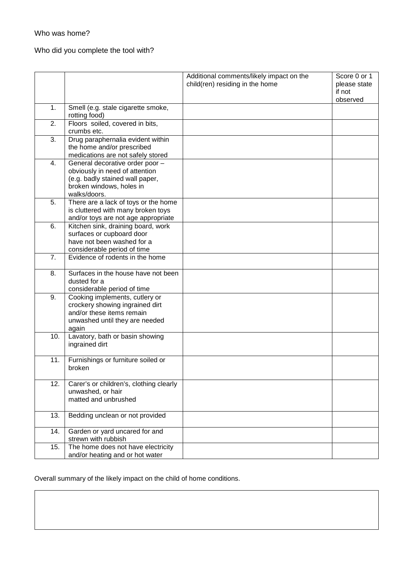### Who was home?

# Who did you complete the tool with?

|     |                                                                                                                                                  | Additional comments/likely impact on the<br>child(ren) residing in the home | Score 0 or 1<br>please state<br>if not<br>observed |
|-----|--------------------------------------------------------------------------------------------------------------------------------------------------|-----------------------------------------------------------------------------|----------------------------------------------------|
| 1.  | Smell (e.g. stale cigarette smoke,<br>rotting food)                                                                                              |                                                                             |                                                    |
| 2.  | Floors soiled, covered in bits,<br>crumbs etc.                                                                                                   |                                                                             |                                                    |
| 3.  | Drug paraphernalia evident within<br>the home and/or prescribed<br>medications are not safely stored                                             |                                                                             |                                                    |
| 4.  | General decorative order poor -<br>obviously in need of attention<br>(e.g. badly stained wall paper,<br>broken windows, holes in<br>walks/doors. |                                                                             |                                                    |
| 5.  | There are a lack of toys or the home<br>is cluttered with many broken toys<br>and/or toys are not age appropriate                                |                                                                             |                                                    |
| 6.  | Kitchen sink, draining board, work<br>surfaces or cupboard door<br>have not been washed for a<br>considerable period of time                     |                                                                             |                                                    |
| 7.  | Evidence of rodents in the home                                                                                                                  |                                                                             |                                                    |
| 8.  | Surfaces in the house have not been<br>dusted for a<br>considerable period of time                                                               |                                                                             |                                                    |
| 9.  | Cooking implements, cutlery or<br>crockery showing ingrained dirt<br>and/or these items remain<br>unwashed until they are needed<br>again        |                                                                             |                                                    |
| 10. | Lavatory, bath or basin showing<br>ingrained dirt                                                                                                |                                                                             |                                                    |
| 11. | Furnishings or furniture soiled or<br>broken                                                                                                     |                                                                             |                                                    |
| 12. | Carer's or children's, clothing clearly<br>unwashed, or hair<br>matted and unbrushed                                                             |                                                                             |                                                    |
| 13. | Bedding unclean or not provided                                                                                                                  |                                                                             |                                                    |
| 14. | Garden or yard uncared for and<br>strewn with rubbish                                                                                            |                                                                             |                                                    |
| 15. | The home does not have electricity<br>and/or heating and or hot water                                                                            |                                                                             |                                                    |

Overall summary of the likely impact on the child of home conditions.